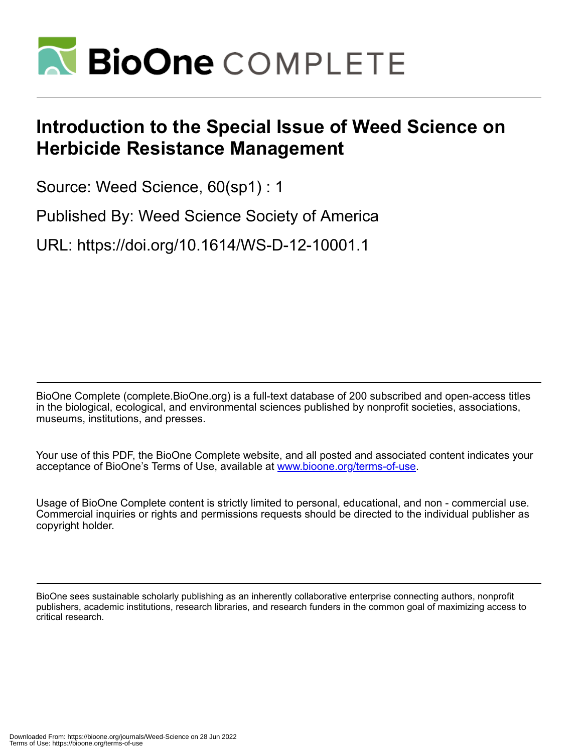

## **Introduction to the Special Issue of Weed Science on Herbicide Resistance Management**

Source: Weed Science, 60(sp1) : 1

Published By: Weed Science Society of America

URL: https://doi.org/10.1614/WS-D-12-10001.1

BioOne Complete (complete.BioOne.org) is a full-text database of 200 subscribed and open-access titles in the biological, ecological, and environmental sciences published by nonprofit societies, associations, museums, institutions, and presses.

Your use of this PDF, the BioOne Complete website, and all posted and associated content indicates your acceptance of BioOne's Terms of Use, available at www.bioone.org/terms-of-use.

Usage of BioOne Complete content is strictly limited to personal, educational, and non - commercial use. Commercial inquiries or rights and permissions requests should be directed to the individual publisher as copyright holder.

BioOne sees sustainable scholarly publishing as an inherently collaborative enterprise connecting authors, nonprofit publishers, academic institutions, research libraries, and research funders in the common goal of maximizing access to critical research.